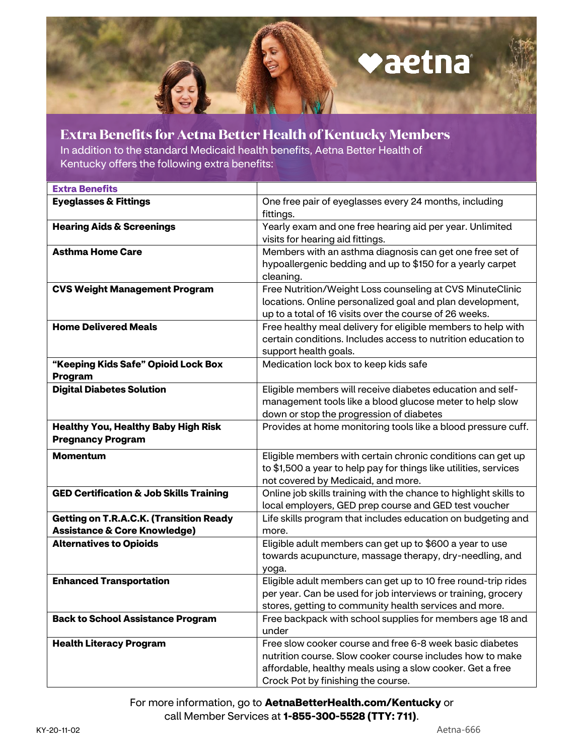## vaetna

 **Extra Benefits for Aetna Better Health of Kentucky Members**  In addition to the standard Medicaid health benefits, Aetna Better Health of Kentucky offers the following extra benefits:

| <b>Extra Benefits</b>                              |                                                                   |
|----------------------------------------------------|-------------------------------------------------------------------|
| <b>Eyeglasses &amp; Fittings</b>                   | One free pair of eyeglasses every 24 months, including            |
|                                                    | fittings.                                                         |
| <b>Hearing Aids &amp; Screenings</b>               | Yearly exam and one free hearing aid per year. Unlimited          |
|                                                    | visits for hearing aid fittings.                                  |
| <b>Asthma Home Care</b>                            | Members with an asthma diagnosis can get one free set of          |
|                                                    | hypoallergenic bedding and up to \$150 for a yearly carpet        |
|                                                    | cleaning.                                                         |
| <b>CVS Weight Management Program</b>               | Free Nutrition/Weight Loss counseling at CVS MinuteClinic         |
|                                                    | locations. Online personalized goal and plan development,         |
|                                                    | up to a total of 16 visits over the course of 26 weeks.           |
| <b>Home Delivered Meals</b>                        | Free healthy meal delivery for eligible members to help with      |
|                                                    | certain conditions. Includes access to nutrition education to     |
|                                                    | support health goals.                                             |
| "Keeping Kids Safe" Opioid Lock Box                | Medication lock box to keep kids safe                             |
| Program                                            |                                                                   |
| <b>Digital Diabetes Solution</b>                   | Eligible members will receive diabetes education and self-        |
|                                                    | management tools like a blood glucose meter to help slow          |
|                                                    | down or stop the progression of diabetes                          |
| <b>Healthy You, Healthy Baby High Risk</b>         | Provides at home monitoring tools like a blood pressure cuff.     |
| <b>Pregnancy Program</b>                           |                                                                   |
| <b>Momentum</b>                                    | Eligible members with certain chronic conditions can get up       |
|                                                    | to \$1,500 a year to help pay for things like utilities, services |
|                                                    | not covered by Medicaid, and more.                                |
| <b>GED Certification &amp; Job Skills Training</b> | Online job skills training with the chance to highlight skills to |
|                                                    | local employers, GED prep course and GED test voucher             |
| <b>Getting on T.R.A.C.K. (Transition Ready</b>     | Life skills program that includes education on budgeting and      |
| <b>Assistance &amp; Core Knowledge)</b>            | more.                                                             |
| <b>Alternatives to Opioids</b>                     | Eligible adult members can get up to \$600 a year to use          |
|                                                    | towards acupuncture, massage therapy, dry-needling, and           |
|                                                    | yoga.                                                             |
| <b>Enhanced Transportation</b>                     | Eligible adult members can get up to 10 free round-trip rides     |
|                                                    | per year. Can be used for job interviews or training, grocery     |
|                                                    | stores, getting to community health services and more.            |
| <b>Back to School Assistance Program</b>           | Free backpack with school supplies for members age 18 and         |
|                                                    | under                                                             |
| <b>Health Literacy Program</b>                     | Free slow cooker course and free 6-8 week basic diabetes          |
|                                                    | nutrition course. Slow cooker course includes how to make         |
|                                                    | affordable, healthy meals using a slow cooker. Get a free         |
|                                                    | Crock Pot by finishing the course.                                |

For more information, go to **[AetnaBetterHealth.com/Kentucky](http://AetnaBetterHealth.com/Kentucky)** or call Member Services at **1-855-300-5528 (TTY: 711)**.